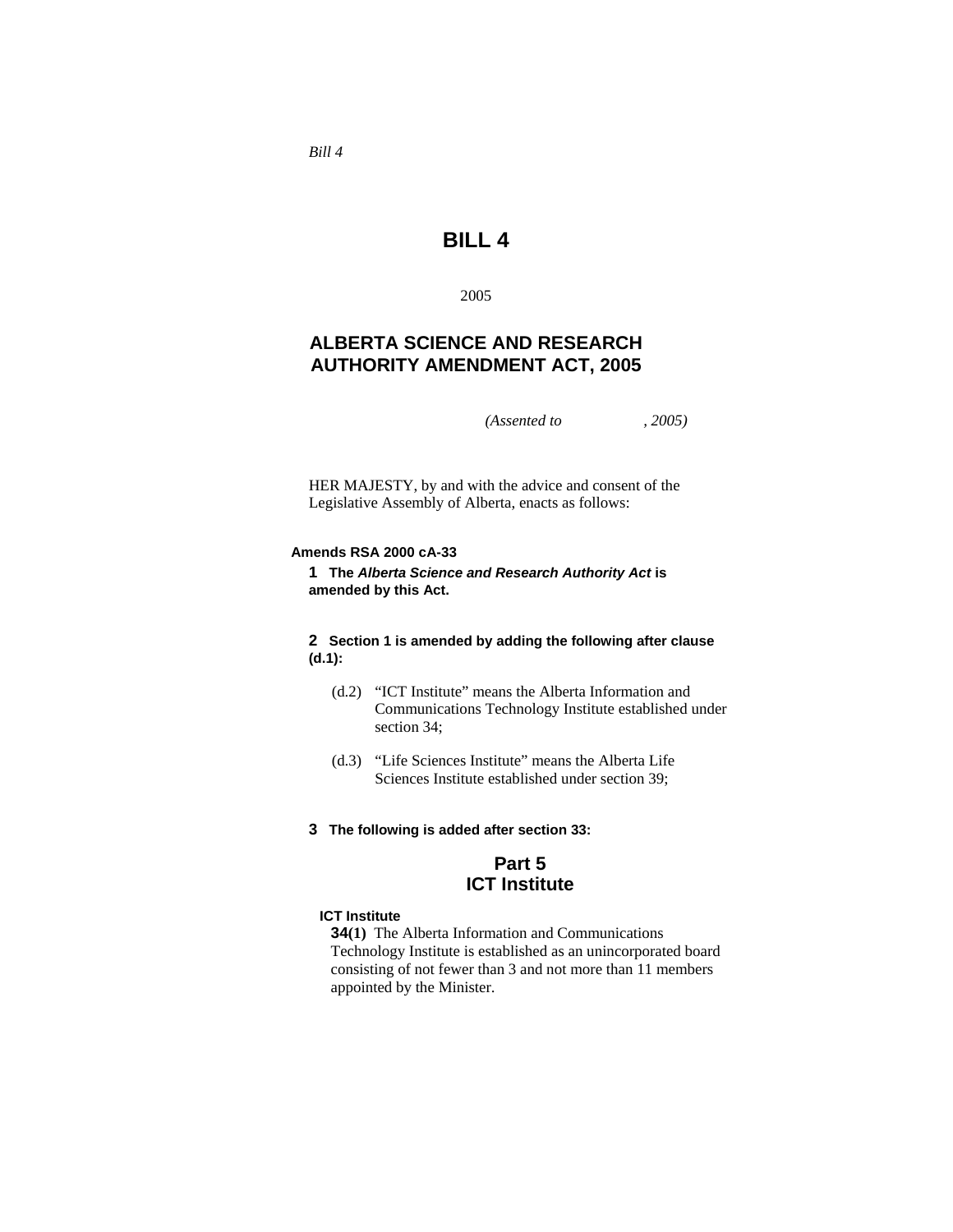*Bill 4* 

# **BILL 4**

2005

## **ALBERTA SCIENCE AND RESEARCH AUTHORITY AMENDMENT ACT, 2005**

*(Assented to , 2005)* 

HER MAJESTY, by and with the advice and consent of the Legislative Assembly of Alberta, enacts as follows:

### **Amends RSA 2000 cA-33**

**1 The** *Alberta Science and Research Authority Act* **is amended by this Act.** 

## **2 Section 1 is amended by adding the following after clause (d.1):**

- (d.2) "ICT Institute" means the Alberta Information and Communications Technology Institute established under section 34;
- (d.3) "Life Sciences Institute" means the Alberta Life Sciences Institute established under section 39;
- **3 The following is added after section 33:**

## **Part 5 ICT Institute**

## **ICT Institute**

**34(1)** The Alberta Information and Communications Technology Institute is established as an unincorporated board consisting of not fewer than 3 and not more than 11 members appointed by the Minister.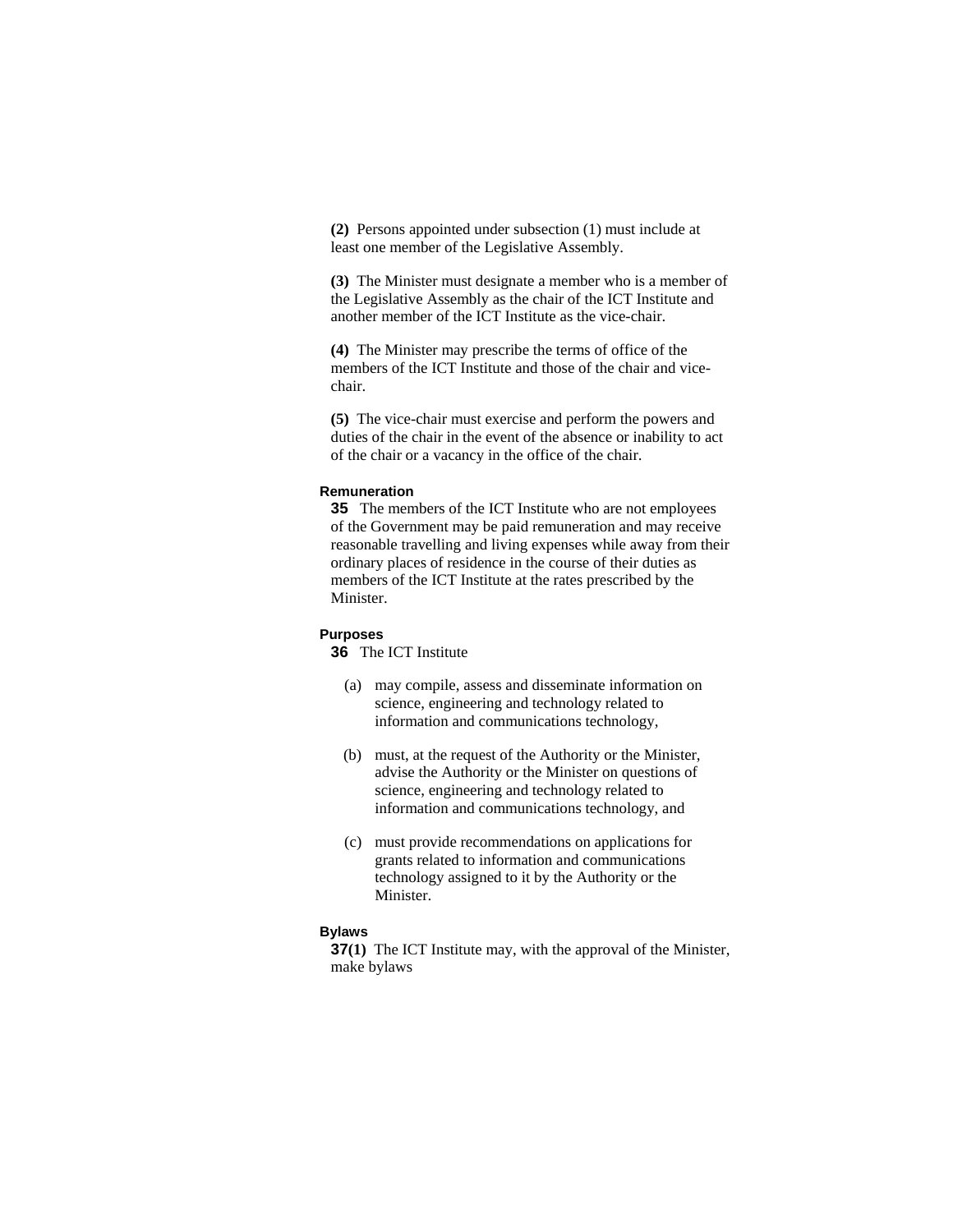**(2)** Persons appointed under subsection (1) must include at least one member of the Legislative Assembly.

**(3)** The Minister must designate a member who is a member of the Legislative Assembly as the chair of the ICT Institute and another member of the ICT Institute as the vice-chair.

**(4)** The Minister may prescribe the terms of office of the members of the ICT Institute and those of the chair and vicechair.

**(5)** The vice-chair must exercise and perform the powers and duties of the chair in the event of the absence or inability to act of the chair or a vacancy in the office of the chair.

#### **Remuneration**

**35** The members of the ICT Institute who are not employees of the Government may be paid remuneration and may receive reasonable travelling and living expenses while away from their ordinary places of residence in the course of their duties as members of the ICT Institute at the rates prescribed by the Minister.

## **Purposes**

**36** The ICT Institute

- (a) may compile, assess and disseminate information on science, engineering and technology related to information and communications technology,
- (b) must, at the request of the Authority or the Minister, advise the Authority or the Minister on questions of science, engineering and technology related to information and communications technology, and
- (c) must provide recommendations on applications for grants related to information and communications technology assigned to it by the Authority or the Minister.

## **Bylaws**

**37(1)** The ICT Institute may, with the approval of the Minister, make bylaws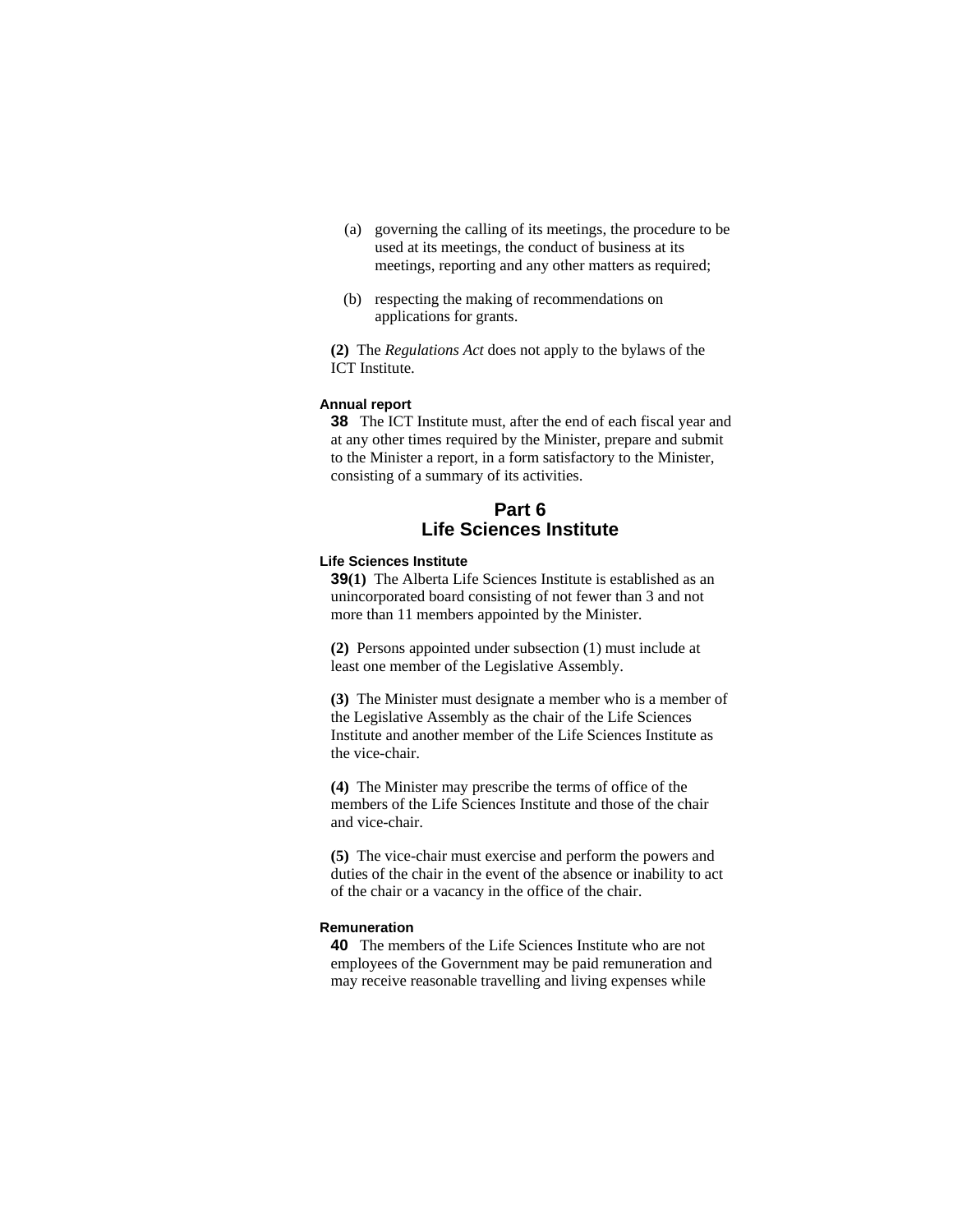- (a) governing the calling of its meetings, the procedure to be used at its meetings, the conduct of business at its meetings, reporting and any other matters as required;
- (b) respecting the making of recommendations on applications for grants.

**(2)** The *Regulations Act* does not apply to the bylaws of the ICT Institute.

#### **Annual report**

**38** The ICT Institute must, after the end of each fiscal year and at any other times required by the Minister, prepare and submit to the Minister a report, in a form satisfactory to the Minister, consisting of a summary of its activities.

## **Part 6 Life Sciences Institute**

#### **Life Sciences Institute**

**39(1)** The Alberta Life Sciences Institute is established as an unincorporated board consisting of not fewer than 3 and not more than 11 members appointed by the Minister.

**(2)** Persons appointed under subsection (1) must include at least one member of the Legislative Assembly.

**(3)** The Minister must designate a member who is a member of the Legislative Assembly as the chair of the Life Sciences Institute and another member of the Life Sciences Institute as the vice-chair.

**(4)** The Minister may prescribe the terms of office of the members of the Life Sciences Institute and those of the chair and vice-chair.

**(5)** The vice-chair must exercise and perform the powers and duties of the chair in the event of the absence or inability to act of the chair or a vacancy in the office of the chair.

#### **Remuneration**

**40** The members of the Life Sciences Institute who are not employees of the Government may be paid remuneration and may receive reasonable travelling and living expenses while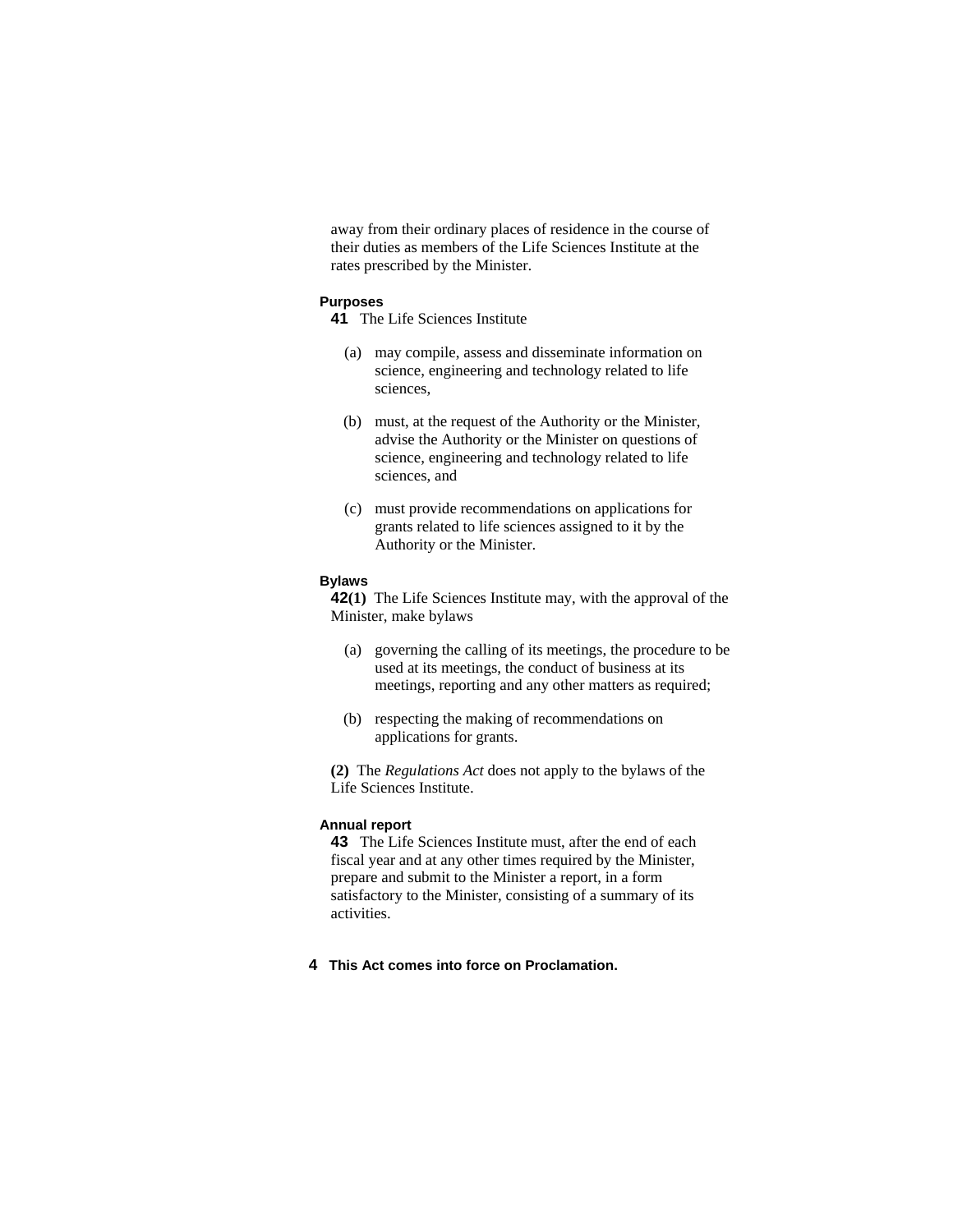away from their ordinary places of residence in the course of their duties as members of the Life Sciences Institute at the rates prescribed by the Minister.

## **Purposes**

- **41** The Life Sciences Institute
	- (a) may compile, assess and disseminate information on science, engineering and technology related to life sciences,
	- (b) must, at the request of the Authority or the Minister, advise the Authority or the Minister on questions of science, engineering and technology related to life sciences, and
	- (c) must provide recommendations on applications for grants related to life sciences assigned to it by the Authority or the Minister.

### **Bylaws**

**42(1)** The Life Sciences Institute may, with the approval of the Minister, make bylaws

- (a) governing the calling of its meetings, the procedure to be used at its meetings, the conduct of business at its meetings, reporting and any other matters as required;
- (b) respecting the making of recommendations on applications for grants.

**(2)** The *Regulations Act* does not apply to the bylaws of the Life Sciences Institute.

### **Annual report**

**43** The Life Sciences Institute must, after the end of each fiscal year and at any other times required by the Minister, prepare and submit to the Minister a report, in a form satisfactory to the Minister, consisting of a summary of its activities.

## **4 This Act comes into force on Proclamation.**